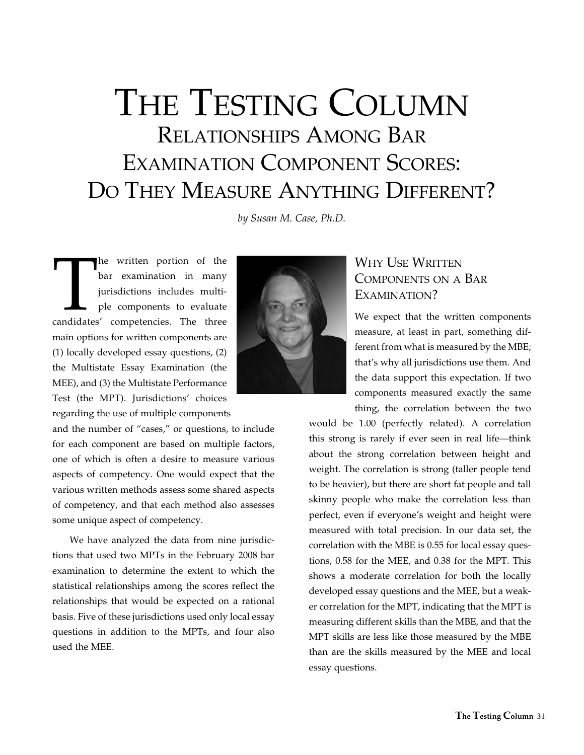# The Testing Column Relationships Among Bar Examination Component Scores: DO THEY MEASURE ANYTHING DIFFERENT?

*by Susan M. Case, Ph.D.*

The written portion of the bar examination in many jurisdictions includes multiple components to evaluate candidates' competencies. The three bar examination in many jurisdictions includes multiple components to evaluate main options for written components are (1) locally developed essay questions, (2) the Multistate Essay Examination (the MEE), and (3) the Multistate Performance Test (the MPT). Jurisdictions' choices regarding the use of multiple components

and the number of "cases," or questions, to include for each component are based on multiple factors, one of which is often a desire to measure various aspects of competency. One would expect that the various written methods assess some shared aspects of competency, and that each method also assesses some unique aspect of competency.

We have analyzed the data from nine jurisdictions that used two MPTs in the February 2008 bar examination to determine the extent to which the statistical relationships among the scores reflect the relationships that would be expected on a rational basis. Five of these jurisdictions used only local essay questions in addition to the MPTs, and four also used the MEE.



# WHY USE WRITTEN Components on a Bar EXAMINATION?

We expect that the written components measure, at least in part, something different from what is measured by the MBE; that's why all jurisdictions use them. And the data support this expectation. If two components measured exactly the same thing, the correlation between the two

would be 1.00 (perfectly related). A correlation this strong is rarely if ever seen in real life—think about the strong correlation between height and weight. The correlation is strong (taller people tend to be heavier), but there are short fat people and tall skinny people who make the correlation less than perfect, even if everyone's weight and height were measured with total precision. In our data set, the correlation with the MBE is 0.55 for local essay questions, 0.58 for the MEE, and 0.38 for the MPT. This shows a moderate correlation for both the locally developed essay questions and the MEE, but a weaker correlation for the MPT, indicating that the MPT is measuring different skills than the MBE, and that the MPT skills are less like those measured by the MBE than are the skills measured by the MEE and local essay questions.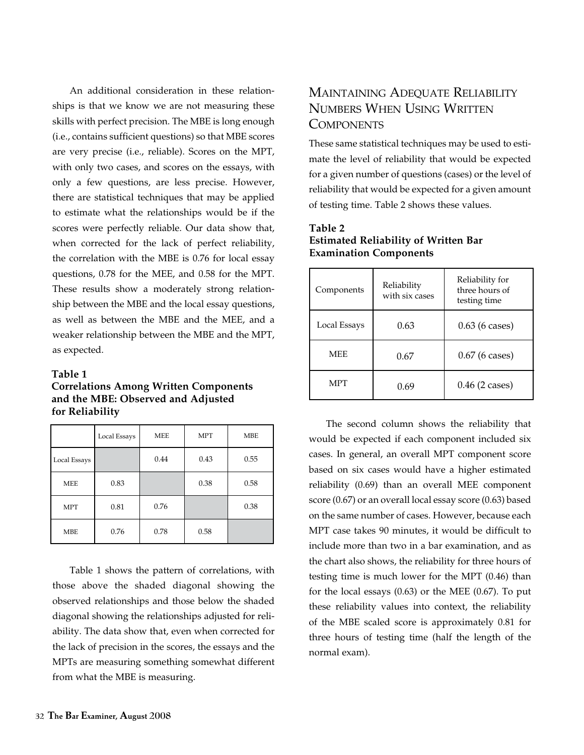An additional consideration in these relationships is that we know we are not measuring these skills with perfect precision. The MBE is long enough (i.e., contains sufficient questions) so that MBE scores are very precise (i.e., reliable). Scores on the MPT, with only two cases, and scores on the essays, with only a few questions, are less precise. However, there are statistical techniques that may be applied to estimate what the relationships would be if the scores were perfectly reliable. Our data show that, when corrected for the lack of perfect reliability, the correlation with the MBE is 0.76 for local essay questions, 0.78 for the MEE, and 0.58 for the MPT. These results show a moderately strong relationship between the MBE and the local essay questions, as well as between the MBE and the MEE, and a weaker relationship between the MBE and the MPT, as expected.

#### **Table 1**

## **Correlations Among Written Components and the MBE: Observed and Adjusted for Reliability**

|              | Local Essays | <b>MEE</b> | <b>MPT</b> | <b>MBE</b> |
|--------------|--------------|------------|------------|------------|
| Local Essays |              | 0.44       | 0.43       | 0.55       |
| <b>MEE</b>   | 0.83         |            | 0.38       | 0.58       |
| <b>MPT</b>   | 0.81         | 0.76       |            | 0.38       |
| <b>MBE</b>   | 0.76         | 0.78       | 0.58       |            |

Table 1 shows the pattern of correlations, with those above the shaded diagonal showing the observed relationships and those below the shaded diagonal showing the relationships adjusted for reliability. The data show that, even when corrected for the lack of precision in the scores, the essays and the MPTs are measuring something somewhat different from what the MBE is measuring.

# MAINTAINING ADEQUATE RELIABILITY Numbers When Using Written **COMPONENTS**

These same statistical techniques may be used to estimate the level of reliability that would be expected for a given number of questions (cases) or the level of reliability that would be expected for a given amount of testing time. Table 2 shows these values.

# **Table 2 Estimated Reliability of Written Bar Examination Components**

| Components   | Reliability<br>with six cases | Reliability for<br>three hours of<br>testing time |
|--------------|-------------------------------|---------------------------------------------------|
| Local Essays | 0.63                          | $0.63$ (6 cases)                                  |
| <b>MEE</b>   | 0.67                          | $0.67$ (6 cases)                                  |
| MPT          | 0.69                          | $0.46$ (2 cases)                                  |

The second column shows the reliability that would be expected if each component included six cases. In general, an overall MPT component score based on six cases would have a higher estimated reliability (0.69) than an overall MEE component score (0.67) or an overall local essay score (0.63) based on the same number of cases. However, because each MPT case takes 90 minutes, it would be difficult to include more than two in a bar examination, and as the chart also shows, the reliability for three hours of testing time is much lower for the MPT (0.46) than for the local essays (0.63) or the MEE (0.67). To put these reliability values into context, the reliability of the MBE scaled score is approximately 0.81 for three hours of testing time (half the length of the normal exam).